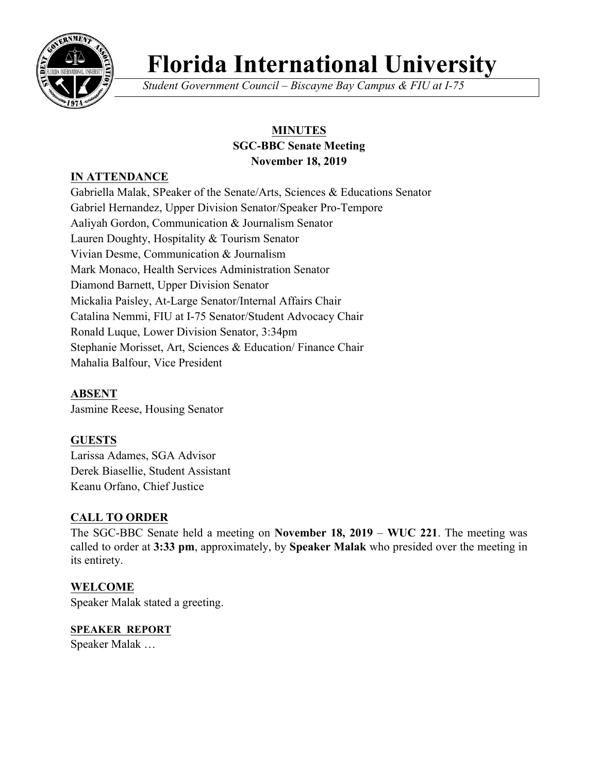

# **Florida International University**

*Student Government Council – Biscayne Bay Campus & FIU at I-75*

# **MINUTES SGC-BBC Senate Meeting November 18, 2019**

## **IN ATTENDANCE**

Gabriella Malak, SPeaker of the Senate/Arts, Sciences & Educations Senator Gabriel Hernandez, Upper Division Senator/Speaker Pro-Tempore Aaliyah Gordon, Communication & Journalism Senator Lauren Doughty, Hospitality & Tourism Senator Vivian Desme, Communication & Journalism Mark Monaco, Health Services Administration Senator Diamond Barnett, Upper Division Senator Mickalia Paisley, At-Large Senator/Internal Affairs Chair Catalina Nemmi, FIU at I-75 Senator/Student Advocacy Chair Ronald Luque, Lower Division Senator, 3:34pm Stephanie Morisset, Art, Sciences & Education/ Finance Chair Mahalia Balfour, Vice President

**ABSENT** Jasmine Reese, Housing Senator

## **GUESTS**

Larissa Adames, SGA Advisor Derek Biasellie, Student Assistant Keanu Orfano, Chief Justice

#### **CALL TO ORDER**

The SGC-BBC Senate held a meeting on **November 18, 2019** – **WUC 221**. The meeting was called to order at **3:33 pm**, approximately, by **Speaker Malak** who presided over the meeting in its entirety.

#### **WELCOME**

Speaker Malak stated a greeting.

# **SPEAKER REPORT**

Speaker Malak …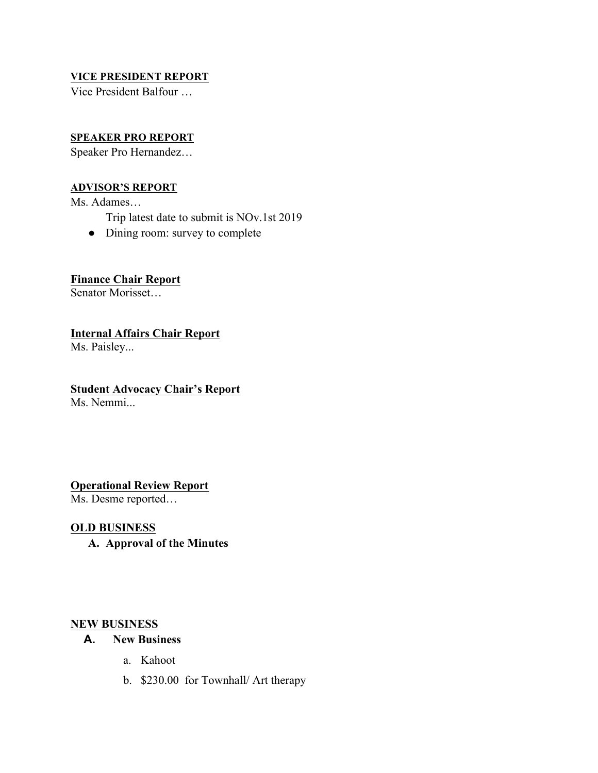#### **VICE PRESIDENT REPORT**

Vice President Balfour …

#### **SPEAKER PRO REPORT**

Speaker Pro Hernandez…

#### **ADVISOR'S REPORT**

Ms. Adames…

- Trip latest date to submit is NOv.1st 2019
- Dining room: survey to complete

#### **Finance Chair Report**

Senator Morisset…

**Internal Affairs Chair Report**

Ms. Paisley...

#### **Student Advocacy Chair's Report**

Ms. Nemmi...

#### **Operational Review Report**

Ms. Desme reported…

#### **OLD BUSINESS**

**A. Approval of the Minutes**

#### **NEW BUSINESS**

#### **A. New Business**

- a. Kahoot
- b. \$230.00 for Townhall/ Art therapy